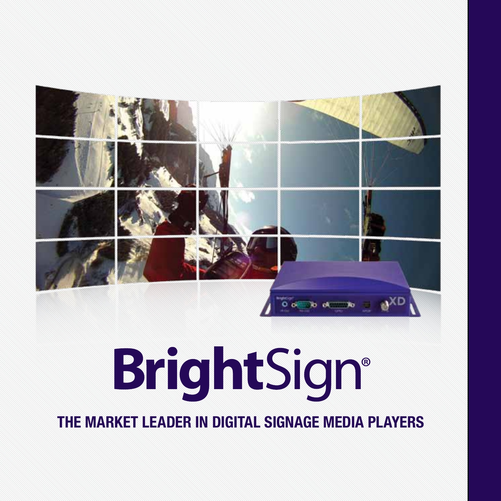

# **BrightSign®**

**THE MARKET LEADER IN DIGITAL SIGNAGE MEDIA PLAYERS**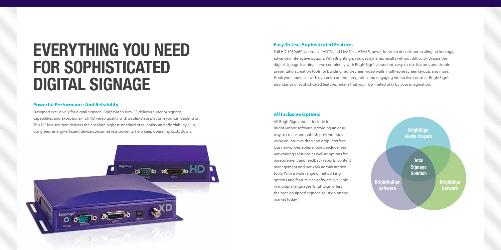# **everything you need for sophisticated digital signage**

#### **Powerful Performance And Reliability**

Designed exclusively for digital signage, BrightSign's slim OS delivers superior signage capabilities and exceptional Full HD video quality with a solid-state platform you can depend on. This PC-less solution delivers the absolute highest standard of reliability and affordability. Plus, our green, energy-efficient device consumes less power to help keep operating costs down.



#### **Easy To Use, Sophisticated Features**

Full HD 1080p60 video, Live HDTV and Live Text, HTML5, powerful video decode and scaling technology, advanced interactive options. With BrightSign, you get dynamic results without difficulty. Bypass the digital signage learning curve completely with BrightSign's abundant, easy-to-use features and simple presentation creation tools for building multi-screen video walls, multi-zone screen layouts and more. Hook your audience with dynamic content integration and engaging interactive controls. BrightSign's abundance of sophisticated features means that you'll be limited only by your imagination.

#### **All Inclusive Options**

All BrightSign models include free BrightAuthor software, providing an easy way to create and publish presentations using an intuitive drag and drop interface. Our network-enabled models include free networking solutions as well as options for measurement and feedback reports, content management and network administration tools. With a wide range of networking options and feature-rich software available in multiple languages, BrightSign offers the best-equipped signage solution on the market today.

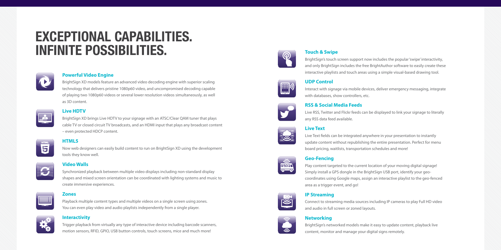## **exceptional capabilities. Infinite possibilities.**



#### **Powerful Video Engine**

BrightSign XD models feature an advanced video decoding engine with superior scaling technology that delivers pristine 1080p60 video, and uncompromised decoding capable of playing two 1080p60 videos or several lower resolution videos simultaneously, as well as 3D content.

#### **Live HDTV**

BrightSign XD brings Live HDTV to your signage with an ATSC/Clear QAM tuner that plays cable TV or closed circuit TV broadcasts, and an HDMI input that plays any broadcast content – even protected HDCP content.

#### **HTML5**

Now web designers can easily build content to run on BrightSign XD using the development tools they know well.



6

#### **Video Walls**

Synchronized playback between multiple video displays including non-standard display shapes and mixed screen orientation can be coordinated with lighting systems and music to create immersive experiences.

**Zones**

Playback multiple content types and multiple videos on a single screen using zones. You can even play video and audio playlists independently from a single player.



#### **Interactivity**

Trigger playback from virtually any type of interactive device including barcode scanners, motion sensors, RFID, GPIO, USB button controls, touch screens, mice and much more!



#### **Touch & Swipe**

**UDP Control**

BrightSign's touch screen support now includes the popular 'swipe' interactivity, and only BrightSign includes the free BrightAuthor software to easily create these interactive playlists and touch areas using a simple visual-based drawing tool.

Interact with signage via mobile devices, deliver emergency messaging, integrate



#### **RSS & Social Media Feeds**

with databases, show controllers, etc.

Live RSS, Twitter and Flickr feeds can be displayed to link your signage to literally any RSS data feed available.



#### **Live Text**

Live Text fields can be integrated anywhere in your presentation to instantly update content without republishing the entire presentation. Perfect for menu board pricing, waitlists, transportation schedules and more!



#### **Geo-Fencing**

Play content targeted to the current location of your moving digital signage! Simply install a GPS dongle in the BrightSign USB port, identify your geocoordinates using Google maps, assign an interactive playlist to the geo-fenced area as a trigger event, and go!

#### **IP Streaming**

Connect to streaming media sources including IP cameras to play Full HD video and audio in full screen or zoned layouts.

#### **Networking**



 $\bar{\mathbb{S}}$ 

BrightSign's networked models make it easy to update content, playback live content, monitor and manage your digital signs remotely.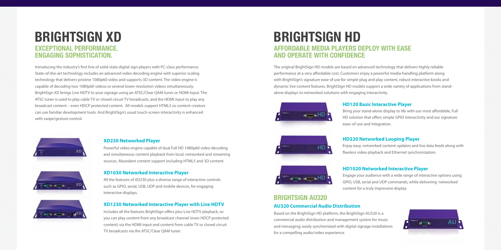### **Brightsign XD Brightsign HD EXCEPTIONAL PERFORMANCE. ENGAGING SOPHISTICATION.**

Introducing the industry's first line of solid-state digital sign players with PC-class performance. State-of-the-art technology includes an advanced video decoding engine with superior scaling technology that delivers pristine 1080p60 video and supports 3D content. The video engine is capable of decoding two 1080p60 videos or several lower-resolution videos simultaneously. BrightSign XD brings Live HDTV to your signage using an ATSC/Clear QAM tuner or HDMI input. The ATSC tuner is used to play cable TV or closed circuit TV broadcasts, and the HDMI input to play any broadcast content – even HDCP protected content. All models support HTML5 so content creators can use familiar development tools. And BrightSign's usual touch-screen interactivity is enhanced with swipe/gesture control.



#### **XD230 Networked Player**

Powerful video engine capable of dual Full HD 1080p60 video decoding and simultaneous content playback from local, networked and streaming sources. Abundant content support including HTML5 and 3D content.

#### **XD1030 Networked Interactive Player**

All the features of XD230 plus a diverse range of interactive controls such as GPIO, serial, USB, UDP and mobile devices, for engaging interactive displays.

#### **XD1230 Networked Interactive Player with Live HDTV**

Includes all the features BrightSign offers plus Live HDTV playback, so you can play content from any broadcast channel (even HDCP protected content) via the HDMI input and content from cable TV or closed circuit TV broadcasts via the ATSC/Clear QAM tuner.

# **AFFORDABLE MEDIA PLAYERS DEPLOY WITH EASE AND OPERATE WITH CONFIDENCE**

The original BrightSign HD models are based on advanced technology that delivers highly reliable performance at a very affordable cost. Customers enjoy a powerful media-handling platform along with BrightSign's signature ease of use for simple plug and play content, robust interactive kiosks and dynamic live content features. BrightSign HD models support a wide variety of applications from standalone displays to networked solutions with engaging interactivity.



#### **HD120 Basic Interactive Player**

Bring your stand-alone display to life with our most affordable, Full HD solution that offers simple GPIO interactivity and our signature ease-of-use and integration.



#### **HD220 Networked Looping Player**

Enjoy easy, networked content updates and live data feeds along with flawless video playback and Ethernet synchronization.



#### **BRIGHTSIGN AU320**

#### **AU320 Commercial Audio Distribution**

Based on the BrightSign HD platform, the BrightSign AU320 is a commercial audio distribution and management system for music and messaging; easily synchronized with digital signage installations for a compelling audio/video experience.



### **HD1020 Networked Interactive Player**

Engage your audience with a wide range of interactive options using GPIO, USB, serial and UDP commands, while delivering networked content for a truly impressive display.





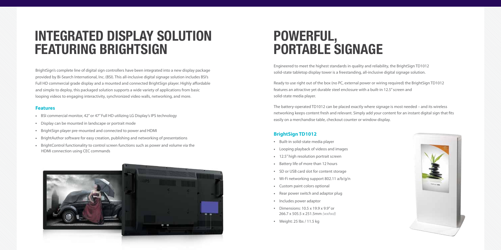### **INTEGRATED DISPLAY SOLUTION FEATURING BRIGHTSIGN**

BrightSign's complete line of digital sign controllers have been integrated into a new display package provided by Bi-Search International, Inc. (BSI). This all-inclusive digital signage solution includes BSI's Full HD commercial grade display and a mounted and connected BrightSign player. Highly affordable and simple to deploy, this packaged solution supports a wide variety of applications from basic looping videos to engaging interactivity, synchronized video walls, networking, and more.

#### **Features**

- BSI commercial monitor, 42" or 47" Full HD utilizing LG Display's IPS technology
- Display can be mounted in landscape or portrait mode
- <sup>l</sup> BrightSign player pre-mounted and connected to power and HDMI
- BrightAuthor software for easy creation, publishing and networking of presentations
- BrightControl functionality to control screen functions such as power and volume via the HDMI connection using CEC commands



### **powerful, portable S**

Engineered to meet the highest standards in quality and reliability, the BrightSign TD1012 solid-state tabletop display tower is a freestanding, all-inclusive digital signage solution.

Ready to use right out of the box (no PC, external power or wiring required) the BrightSign TD1012 features an attractive yet durable steel enclosure with a built-in 12.5" screen and solid-state media player.

The battery-operated TD1012 can be placed exactly where signage is most needed – and its wireless networking keeps content fresh and relevant. Simply add your content for an instant digital sign that fits easily on a merchandise table, checkout counter or window display.

#### **BrightSign TD1012**

- Built-in solid-state media player
- Looping playback of videos and images
- 12.5" high resolution portrait screen
- Battery life of more than 12 hours
- SD or USB card slot for content storage
- $\cdot$  Wi-Fi networking support 802.11 a/b/g/n
- Custom paint colors optional
- Rear power switch and adaptor plug
- Includes power adaptor
- Dimensions:  $10.5 \times 19.9 \times 9.9$ " or 266.7 x 505.5 x 251.5mm *(wxhxd)*
- $\bullet$  Weight: 25 lbs / 11.5 kg

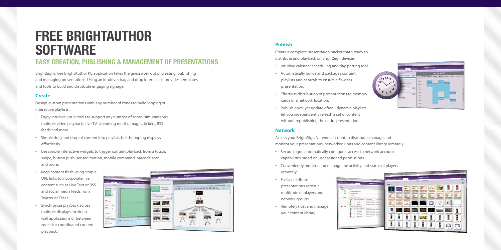# **Free brightauthor software**

### **Easy Creation, Publishing & Management of Presentations**

BrightSign's free BrightAuthor PC application takes the guesswork out of creating, publishing and managing presentations. Using an intuitive drag and drop interface, it provides templates and tools to build and distribute engaging signage.

#### **Create**

Design custom presentations with any number of zones to build looping or interactive playlists.

- • Enjoy intuitive visual tools to support any number of zones, simultaneous multiple video playback, Live TV, streaming media, images, tickers, RSS feeds and more.
- • Simple drag and drop of content into playlists builds looping displays effortlessly.
- • Use simple interactive widgets to trigger content playback from a touch, swipe, button push, sensed motion, mobile command, barcode scan and more.
- • Keep content fresh using simple URL links to incorporate live content such as Live Text or RSS and social media feeds from Twitter or Flickr.
- • Synchronize playback across multiple displays for video wall applications or between zones for coordinated content playback.



#### **Publish**

Create a complete presentation packet that's ready to distribute and playback on BrightSign devices.

- • Intuitive calendar scheduling and day-parting tool.
- • Automatically builds and packages content, playlists and controls to ensure a flawless presentation.
- • Effortless distribution of presentations to memory cards or a network location.
- • Publish once, yet update often dynamic playlists let you independently refresh a set of content without republishing the entire presentation.

#### **Network**

Access your BrightSign Network account to distribute, manage and monitor your presentations, networked units and content library remotely.

- • Secure logon automatically configures access to network account capabilities based on user assigned permissions.
- • Conveniently monitor and manage the activity and status of players remotely.
- • Easily distribute presentations across a multitude of players and network groups.
- • Remotely host and manage your content library.



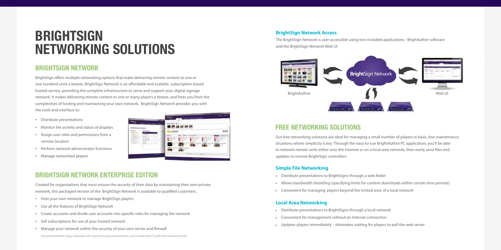### **BRIGHTSIGN NETWORKING SOLUTIONS**

#### **BrightSign Network**

BrightSign offers multiple networking options that make delivering remote content to one or one hundred units a breeze. BrightSign Network is an affordable and scalable, subscription-based hosted service, providing the complete infrastructure to serve and support your digital signage network. It makes delivering remote content to one or many players a breeze, and frees you from the complexities of hosting and maintaining your own network. BrightSign Network provides you with the tools and interface to:

- • Distribute presentations
- • Monitor the activity and status of displays
- • Assign user roles and permissions from a remote location
- • Perform network administrator functions
- • Manage networked players



### **BrightSign Network Enterprise Edition**

Created for organizations that must ensure the security of their data by maintaining their own private network, this packaged version of the BrightSign Network is available to qualified customers.

- • Host your own network to manage BrightSign players
- • Use all the features of BrightSign Network
- • Create accounts and divide user accounts into specific roles for managing the network
- • Sell subscriptions for use of your hosted network
- Manage your network within the security of your own server and firewall

#### **BrightSign Network Access**

The BrightSign Network is user-accessible using two included applications - BrighAuthor software and the BrightSign Network Web UI.



### **FREE NETWORKING SOLUTIONs**

Our free networking solutions are ideal for managing a small number of players in basic, low-maintenance situations where simplicity is key. Through the easy-to-use BrightAuthor PC application, you'll be able to network remote units either over the Internet or on a local area network, then easily send files and updates to remote BrightSign controllers.

#### **Simple File Networking**

- Distribute presentations to BrightSigns through a web folder
- Allows bandwidth throttling (specifying limits for content downloads within certain time periods)
- Convenient for managing players beyond the limited area of a local network

#### **Local Area Networking**

- **.** Distribute presentations to BrightSigns through a local network
- Convenient for management without an Internet connection
- Updates players immediately eliminates waiting for players to poll the web server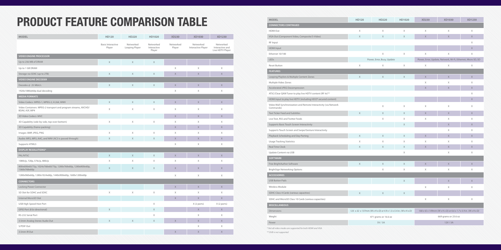### PRODUCT FEATURE COMPARISON TABLE

| MODEL                                                                            | HD120                              | HD220                       | HD1020                             | XD230               | XD1030                          | XD1230                                           |
|----------------------------------------------------------------------------------|------------------------------------|-----------------------------|------------------------------------|---------------------|---------------------------------|--------------------------------------------------|
|                                                                                  | <b>Basic Interactive</b><br>Player | Networked<br>Looping Player | Networked<br>Interactive<br>Player | Networked<br>Player | Networked<br>Interactive Player | Networked<br>Interactive and<br>Live HDTV Player |
| <b>VIDEO ENGINE PROCESSOR</b>                                                    |                                    |                             |                                    |                     |                                 |                                                  |
| Up to 256 MB of DRAM                                                             | $\mathsf X$                        | $\chi$                      | X                                  |                     |                                 |                                                  |
| Up to 1 GB DRAM                                                                  |                                    |                             |                                    | X                   | X                               | X                                                |
| Storage via SDXC (up to 2TB)                                                     | $\mathsf X$                        | $\mathsf X$                 | $\mathsf X$                        | $\mathsf X$         | $\mathsf X$                     | $\mathsf X$                                      |
| <b>VIDEO ENGINE DECODER</b>                                                      |                                    |                             |                                    |                     |                                 |                                                  |
| Decodes @ 25 Mbit/s                                                              | $\mathsf X$                        | $\chi$                      | X                                  | $\mathsf X$         | X                               | X                                                |
| 1920x1080@60p dual decoding                                                      |                                    |                             |                                    | X                   | X                               | X                                                |
| <b>MEDIA FORMATS</b>                                                             |                                    |                             |                                    |                     |                                 |                                                  |
| Video Codecs: MPEG-1, MPEG-2, H.264, WMV                                         | $\mathsf X$                        | $\mathsf X$                 | $\mathsf X$                        | $\mathsf X$         | $\mathsf X$                     | $\mathsf X$                                      |
| Video Containers: MPEG-2 transport and program streams, AVCHD/<br>BDAV, ASF, MP4 | X                                  | $\mathsf X$                 | $\mathsf X$                        | X                   | X                               | X                                                |
| 3D Video Codecs: MVC                                                             |                                    |                             |                                    | X                   | $\chi$                          | X                                                |
| 3D Capability (side-by-side, top-over-bottom)                                    | Χ                                  | $\mathsf X$                 | X                                  | X                   | X                               | X                                                |
| 3D Capability (frame-packing)                                                    |                                    |                             |                                    | $\mathsf X$         | $\mathsf X$                     | $\mathsf X$                                      |
| Images: BMP, JPEG, PNG                                                           | X                                  | X                           | X                                  | X                   | $\times$                        | X                                                |
| Audio: MP2, MP3, AAC, and WAV (AC3 is passed through)                            | $\mathsf{X}$                       | $\mathsf X$                 | X                                  | X                   | $\chi$                          | X                                                |
| Supports HTML5                                                                   |                                    |                             |                                    | Χ                   | $\mathsf X$                     | Χ                                                |
| <b>DISPLAY RESOLUTIONS*</b>                                                      |                                    |                             |                                    |                     |                                 |                                                  |
| PAL/NTSC                                                                         | $\mathsf X$                        | $\mathsf X$                 | $\mathsf X$                        | $\mathsf X$         | $\mathsf X$                     | $\mathsf X$                                      |
| 1080i/p, 720p, 576i/p, 480i/p                                                    | $\chi$                             | $\mathsf X$                 | X                                  | Χ                   | $\mathsf X$                     | Χ                                                |
| 800x600x60/75p, 1024x768x60/75p, 1280x768x60p, 1280x800x60p,<br>1360x768x60p     | $\mathsf X$                        | $\mathsf X$                 | X                                  | $\mathsf X$         | $\mathsf X$                     | $\mathsf X$                                      |
| 1280x960x60p, 1280x1024x60p, 1440x900x60p, 1600x1200x60p                         |                                    |                             |                                    | X                   | $\times$                        | X                                                |
| <b>CONNECTORS</b>                                                                |                                    |                             |                                    |                     |                                 |                                                  |
| Locking Power Connector                                                          |                                    |                             |                                    | $\mathsf X$         | $\times$                        | X                                                |
| SD Slot for SDHC and SDXC                                                        | $\mathsf X$                        | $\mathsf X$                 | $\mathsf X$                        | Χ                   | X                               | X                                                |
| Internal MicroSD Slot                                                            |                                    |                             |                                    | $\mathsf X$         | $\chi$                          | $\mathsf{X}$                                     |
| USB High Speed Host Port                                                         |                                    |                             | Χ                                  |                     | X (2 ports)                     | X (2 ports)                                      |
| GPIO Port (8 bi-directional)                                                     | $\mathsf X$                        |                             | $\mathsf X$                        |                     | $\mathsf X$                     | $\mathsf X$                                      |
| RS-232 Serial Port                                                               |                                    |                             | Χ                                  |                     | X                               | Χ                                                |
| 3.5mm Analog Stereo Audio Out                                                    | $\mathsf X$                        | $\mathsf X$                 | $\mathsf X$                        | $\mathsf X$         | $\chi$                          | $\mathsf X$                                      |
| S/PDIF Out                                                                       |                                    |                             |                                    |                     | $\mathsf X$                     | Χ                                                |
| 3.5mm IR Out                                                                     |                                    |                             |                                    | X                   | $\mathsf X$                     | $\mathsf X$                                      |

| <b>MODEL</b>                                                                  | HD120       | HD220                                                           | HD1020      | <b>XD230</b>                                                    | XD1030       | XD1230      |  |
|-------------------------------------------------------------------------------|-------------|-----------------------------------------------------------------|-------------|-----------------------------------------------------------------|--------------|-------------|--|
| <b>CONNECTORS CONTINUED</b>                                                   |             |                                                                 |             |                                                                 |              |             |  |
| <b>HDMI Out</b>                                                               | Χ           | Χ                                                               | X           | X                                                               | $\mathsf X$  | $\mathsf X$ |  |
| VGA Out (Component Video, Composite/S-Video)                                  | X           | $\mathsf X$                                                     | X           | $\overline{X}$                                                  | $\mathsf{X}$ | $\mathsf X$ |  |
| RF Input                                                                      |             |                                                                 |             |                                                                 |              | X           |  |
| <b>HDMI</b> Input                                                             |             |                                                                 |             |                                                                 |              | X           |  |
| Ethernet 10/100                                                               |             | Χ                                                               | Χ           | $\mathsf X$                                                     | Χ            | X           |  |
| LEDs                                                                          |             | Power, Error, Busy, Update                                      |             | Power, Error, Update, Network, Wi-Fi, Ethernet, Micro SD, SD    |              |             |  |
| <b>Reset Button</b>                                                           | $\mathsf X$ | Χ                                                               | Χ           | X                                                               | Χ            | Χ           |  |
| <b>FEATURES</b>                                                               |             |                                                                 |             |                                                                 |              |             |  |
| Looping Playlists & Multiple Content Zones                                    | $\mathsf X$ | $\mathsf X$                                                     | X           | $\mathsf X$                                                     | $\mathsf X$  | $\mathsf X$ |  |
| Multiple Video Zones                                                          |             |                                                                 |             | X                                                               | X            | X           |  |
| Accelerated JPEG Decompression                                                |             |                                                                 |             | $\overline{X}$                                                  | $\mathsf{X}$ | $\mathsf X$ |  |
| ATSC/Clear QAM Tuner to play live HDTV content (RF In)**                      |             |                                                                 |             |                                                                 |              | X           |  |
| HDMI Input to play live HDTV (including HDCP secured content)                 |             |                                                                 |             |                                                                 |              | X           |  |
| Video Wall Synchronization and Remote Interactivity (via Network<br>Commands) |             | X                                                               | X           | X                                                               | X            | X           |  |
| Text Ticker Feed and Subtitles                                                | X           | X                                                               | Χ           | $\chi$                                                          | $\mathsf X$  | $\mathsf X$ |  |
| Live Text, RSS and Twitter Feeds                                              |             | Χ                                                               | X           | $\mathsf X$                                                     | X            | X           |  |
| Supports Basic Touch Screen Interactivity                                     |             |                                                                 | X           |                                                                 | $\mathsf X$  | $\mathsf X$ |  |
| Supports Touch Screen and Swipe/Gesture Interactivity                         |             |                                                                 |             |                                                                 | Χ            | Χ           |  |
| Playback Scheduling and Day-Parting                                           | $\times$    | $\chi$                                                          | $\mathsf X$ | $\mathsf{X}$                                                    | $\mathsf{X}$ | X           |  |
| <b>Usage Tracking Statistics</b>                                              | X           | Χ                                                               | Χ           | $\mathsf X$                                                     | X            | X           |  |
| Real Time Clock                                                               | X           | X                                                               | X           | X                                                               | X            | $\times$    |  |
| Update Content via USB                                                        |             |                                                                 | Χ           |                                                                 | X            | X           |  |
| SOFTWARE                                                                      |             |                                                                 |             |                                                                 |              |             |  |
| Free BrightAuthor Software                                                    | $\mathsf X$ | $\mathsf X$                                                     | Χ           | $\mathsf X$                                                     | $\mathsf X$  | $\mathsf X$ |  |
| <b>BrightSign Networking Options</b>                                          |             | X                                                               | Χ           | X                                                               | X            | X           |  |
| <b>ACCESSORIES</b>                                                            |             |                                                                 |             |                                                                 |              |             |  |
| <b>USB Button Pads</b>                                                        |             |                                                                 | Χ           |                                                                 | X            | $\mathsf X$ |  |
| Wireless Module                                                               |             |                                                                 |             | $\mathsf X$                                                     | Χ            | Χ           |  |
| SDHC Class 4 Cards (various capacities)                                       | $\mathsf X$ | $\mathsf X$                                                     | X           |                                                                 |              |             |  |
| SDHC and MicroSD Class 10 Cards (various capacities)                          |             |                                                                 |             | X                                                               | X            | X           |  |
| <b>MISCELLANEOUS</b>                                                          |             |                                                                 |             |                                                                 |              |             |  |
| Dimensions                                                                    |             | 125 x 32 x 137mm (W x H x D) or 4.9 x 1.3 x 5.4 in. (W x H x D) |             | 168 x 42 x 149mm (W x H x D) or 6.6 x 1.7 x 5.9 in. (W x H x D) |              |             |  |
| Weight                                                                        |             | 471 grams or 16.6 oz                                            |             | 669 grams or 23.6 oz                                            |              |             |  |
| Power                                                                         |             | 5V/3A                                                           |             | 12V/3A                                                          |              |             |  |
| * Not all video modes are supported for both HDMI and VGA                     |             |                                                                 |             |                                                                 |              |             |  |

*\*\* DVB is not supported*